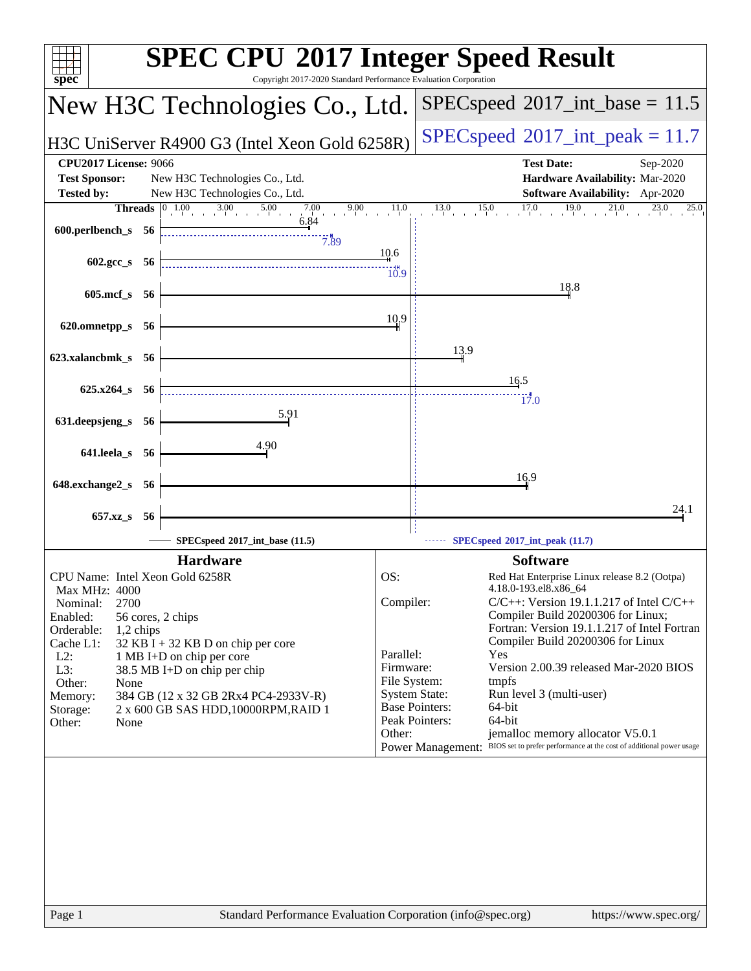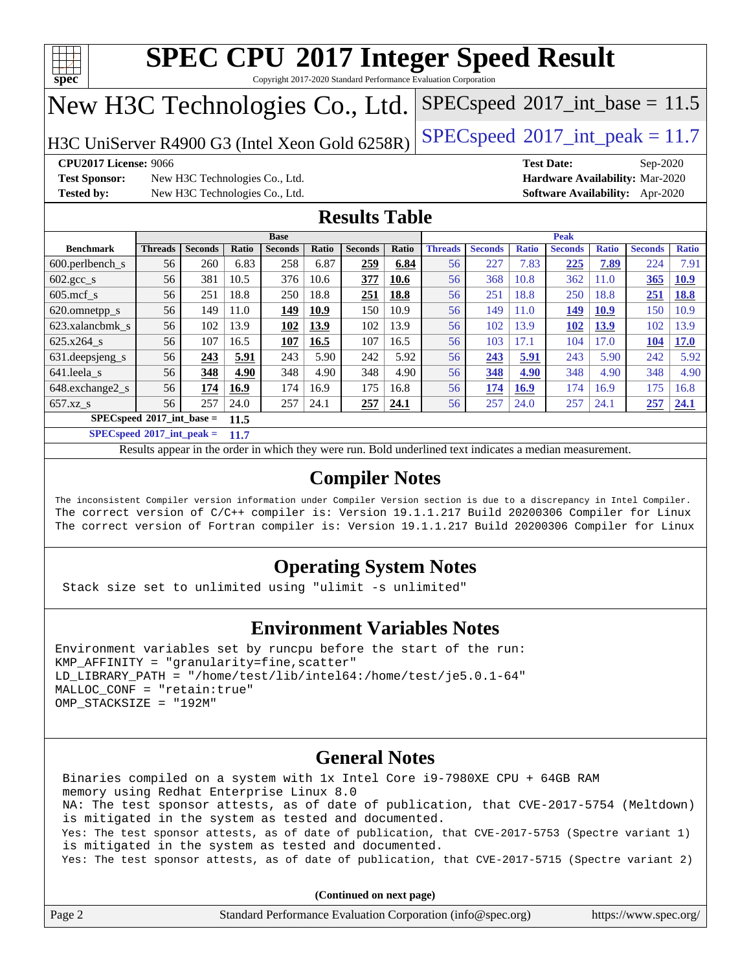

Copyright 2017-2020 Standard Performance Evaluation Corporation

# New H3C Technologies Co., Ltd.

H3C UniServer R4900 G3 (Intel Xeon Gold  $6258R$ ) [SPECspeed](http://www.spec.org/auto/cpu2017/Docs/result-fields.html#SPECspeed2017intpeak)®[2017\\_int\\_peak = 1](http://www.spec.org/auto/cpu2017/Docs/result-fields.html#SPECspeed2017intpeak)1.7

 $SPECspeed^{\circ}2017\_int\_base = 11.5$  $SPECspeed^{\circ}2017\_int\_base = 11.5$ 

**[CPU2017 License:](http://www.spec.org/auto/cpu2017/Docs/result-fields.html#CPU2017License)** 9066 **[Test Date:](http://www.spec.org/auto/cpu2017/Docs/result-fields.html#TestDate)** Sep-2020

**[Test Sponsor:](http://www.spec.org/auto/cpu2017/Docs/result-fields.html#TestSponsor)** New H3C Technologies Co., Ltd. **[Hardware Availability:](http://www.spec.org/auto/cpu2017/Docs/result-fields.html#HardwareAvailability)** Mar-2020 **[Tested by:](http://www.spec.org/auto/cpu2017/Docs/result-fields.html#Testedby)** New H3C Technologies Co., Ltd. **[Software Availability:](http://www.spec.org/auto/cpu2017/Docs/result-fields.html#SoftwareAvailability)** Apr-2020

## **[Results Table](http://www.spec.org/auto/cpu2017/Docs/result-fields.html#ResultsTable)**

|                                     | <b>Base</b>    |                |              |                |       |                | <b>Peak</b> |                |                |              |                |              |                |              |
|-------------------------------------|----------------|----------------|--------------|----------------|-------|----------------|-------------|----------------|----------------|--------------|----------------|--------------|----------------|--------------|
| <b>Benchmark</b>                    | <b>Threads</b> | <b>Seconds</b> | <b>Ratio</b> | <b>Seconds</b> | Ratio | <b>Seconds</b> | Ratio       | <b>Threads</b> | <b>Seconds</b> | <b>Ratio</b> | <b>Seconds</b> | <b>Ratio</b> | <b>Seconds</b> | <b>Ratio</b> |
| 600.perlbench_s                     | 56             | 260            | 6.83         | 258            | 6.87  | 259            | 6.84        | 56             | 227            | 7.83         | 225            | 7.89         | 224            | 7.91         |
| $602.\text{gcc s}$                  | 56             | 381            | 10.5         | 376            | 10.6  | 377            | 10.6        | 56             | 368            | 10.8         | 362            | $\pm 1.0$    | 365            | <u>10.9</u>  |
| $605$ .mcf s                        | 56             | 251            | 18.8         | 250            | 18.8  | 251            | 18.8        | 56             | 251            | 18.8         | 250            | 18.8         | 251            | <b>18.8</b>  |
| 620.omnetpp_s                       | 56             | 149            | 11.0         | 149            | 10.9  | 150            | 10.9        | 56             | 149            | 11.0         | 149            | <b>10.9</b>  | 150            | 10.9         |
| 623.xalancbmk_s                     | 56             | 102            | 13.9         | 102            | 13.9  | 102            | 13.9        | 56             | 102            | 13.9         | 102            | 13.9         | 102            | 13.9         |
| 625.x264 s                          | 56             | 107            | 16.5         | 107            | 16.5  | 107            | 16.5        | 56             | 103            | 17.1         | 104            | 7.0          | 104            | <b>17.0</b>  |
| 631.deepsjeng_s                     | 56             | 243            | 5.91         | 243            | 5.90  | 242            | 5.92        | 56             | 243            | 5.91         | 243            | 5.90         | 242            | 5.92         |
| 641.leela s                         | 56             | 348            | 4.90         | 348            | 4.90  | 348            | 4.90        | 56             | 348            | 4.90         | 348            | 4.90         | 348            | 4.90         |
| 648.exchange2 s                     | 56             | 174            | 16.9         | 174            | 16.9  | 175            | 16.8        | 56             | 174            | <b>16.9</b>  | 174            | 16.9         | 175            | 16.8         |
| $657.xz$ s                          | 56             | 257            | 24.0         | 257            | 24.1  | 257            | 24.1        | 56             | 257            | 24.0         | 257            | 24.1         | 257            | 24.1         |
| $SPECspeed*2017$ int base =<br>11.5 |                |                |              |                |       |                |             |                |                |              |                |              |                |              |

**[SPECspeed](http://www.spec.org/auto/cpu2017/Docs/result-fields.html#SPECspeed2017intpeak)[2017\\_int\\_peak =](http://www.spec.org/auto/cpu2017/Docs/result-fields.html#SPECspeed2017intpeak) 11.7**

Results appear in the [order in which they were run.](http://www.spec.org/auto/cpu2017/Docs/result-fields.html#RunOrder) Bold underlined text [indicates a median measurement](http://www.spec.org/auto/cpu2017/Docs/result-fields.html#Median).

# **[Compiler Notes](http://www.spec.org/auto/cpu2017/Docs/result-fields.html#CompilerNotes)**

The inconsistent Compiler version information under Compiler Version section is due to a discrepancy in Intel Compiler. The correct version of C/C++ compiler is: Version 19.1.1.217 Build 20200306 Compiler for Linux The correct version of Fortran compiler is: Version 19.1.1.217 Build 20200306 Compiler for Linux

# **[Operating System Notes](http://www.spec.org/auto/cpu2017/Docs/result-fields.html#OperatingSystemNotes)**

Stack size set to unlimited using "ulimit -s unlimited"

## **[Environment Variables Notes](http://www.spec.org/auto/cpu2017/Docs/result-fields.html#EnvironmentVariablesNotes)**

```
Environment variables set by runcpu before the start of the run:
KMP AFFINITY = "granularity=fine, scatter"
LD_LIBRARY_PATH = "/home/test/lib/intel64:/home/test/je5.0.1-64"
MALLOC_CONF = "retain:true"
OMP_STACKSIZE = "192M"
```
## **[General Notes](http://www.spec.org/auto/cpu2017/Docs/result-fields.html#GeneralNotes)**

 Binaries compiled on a system with 1x Intel Core i9-7980XE CPU + 64GB RAM memory using Redhat Enterprise Linux 8.0 NA: The test sponsor attests, as of date of publication, that CVE-2017-5754 (Meltdown) is mitigated in the system as tested and documented. Yes: The test sponsor attests, as of date of publication, that CVE-2017-5753 (Spectre variant 1) is mitigated in the system as tested and documented. Yes: The test sponsor attests, as of date of publication, that CVE-2017-5715 (Spectre variant 2)

**(Continued on next page)**

| Page 2 | Standard Performance Evaluation Corporation (info@spec.org) | https://www.spec.org/ |
|--------|-------------------------------------------------------------|-----------------------|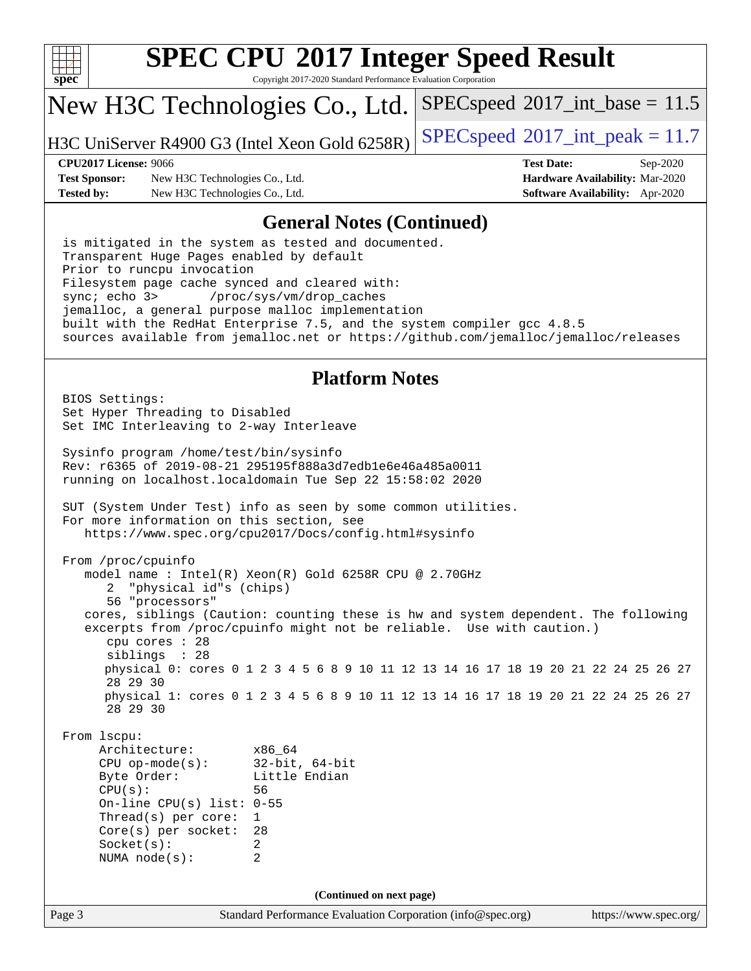

Copyright 2017-2020 Standard Performance Evaluation Corporation

# New H3C Technologies Co., Ltd.

H3C UniServer R4900 G3 (Intel Xeon Gold  $6258R$ ) [SPECspeed](http://www.spec.org/auto/cpu2017/Docs/result-fields.html#SPECspeed2017intpeak)®[2017\\_int\\_peak = 1](http://www.spec.org/auto/cpu2017/Docs/result-fields.html#SPECspeed2017intpeak)1.7

 $SPECspeed^{\circ}2017\_int\_base = 11.5$  $SPECspeed^{\circ}2017\_int\_base = 11.5$ 

**[Test Sponsor:](http://www.spec.org/auto/cpu2017/Docs/result-fields.html#TestSponsor)** New H3C Technologies Co., Ltd. **[Hardware Availability:](http://www.spec.org/auto/cpu2017/Docs/result-fields.html#HardwareAvailability)** Mar-2020 **[Tested by:](http://www.spec.org/auto/cpu2017/Docs/result-fields.html#Testedby)** New H3C Technologies Co., Ltd. **[Software Availability:](http://www.spec.org/auto/cpu2017/Docs/result-fields.html#SoftwareAvailability)** Apr-2020

**[CPU2017 License:](http://www.spec.org/auto/cpu2017/Docs/result-fields.html#CPU2017License)** 9066 **[Test Date:](http://www.spec.org/auto/cpu2017/Docs/result-fields.html#TestDate)** Sep-2020

### **[General Notes \(Continued\)](http://www.spec.org/auto/cpu2017/Docs/result-fields.html#GeneralNotes)**

 is mitigated in the system as tested and documented. Transparent Huge Pages enabled by default Prior to runcpu invocation Filesystem page cache synced and cleared with: sync; echo 3> /proc/sys/vm/drop\_caches jemalloc, a general purpose malloc implementation built with the RedHat Enterprise 7.5, and the system compiler gcc 4.8.5 sources available from jemalloc.net or <https://github.com/jemalloc/jemalloc/releases>

### **[Platform Notes](http://www.spec.org/auto/cpu2017/Docs/result-fields.html#PlatformNotes)**

 BIOS Settings: Set Hyper Threading to Disabled Set IMC Interleaving to 2-way Interleave Sysinfo program /home/test/bin/sysinfo Rev: r6365 of 2019-08-21 295195f888a3d7edb1e6e46a485a0011 running on localhost.localdomain Tue Sep 22 15:58:02 2020 SUT (System Under Test) info as seen by some common utilities. For more information on this section, see <https://www.spec.org/cpu2017/Docs/config.html#sysinfo> From /proc/cpuinfo model name : Intel(R) Xeon(R) Gold 6258R CPU @ 2.70GHz 2 "physical id"s (chips) 56 "processors" cores, siblings (Caution: counting these is hw and system dependent. The following excerpts from /proc/cpuinfo might not be reliable. Use with caution.) cpu cores : 28 siblings : 28 physical 0: cores 0 1 2 3 4 5 6 8 9 10 11 12 13 14 16 17 18 19 20 21 22 24 25 26 27 28 29 30 physical 1: cores 0 1 2 3 4 5 6 8 9 10 11 12 13 14 16 17 18 19 20 21 22 24 25 26 27 28 29 30 From lscpu: Architecture: x86\_64 CPU op-mode(s): 32-bit, 64-bit Byte Order: Little Endian CPU(s): 56 On-line CPU(s) list: 0-55 Thread(s) per core: 1 Core(s) per socket: 28 Socket(s): 2 NUMA node(s): 2 **(Continued on next page)**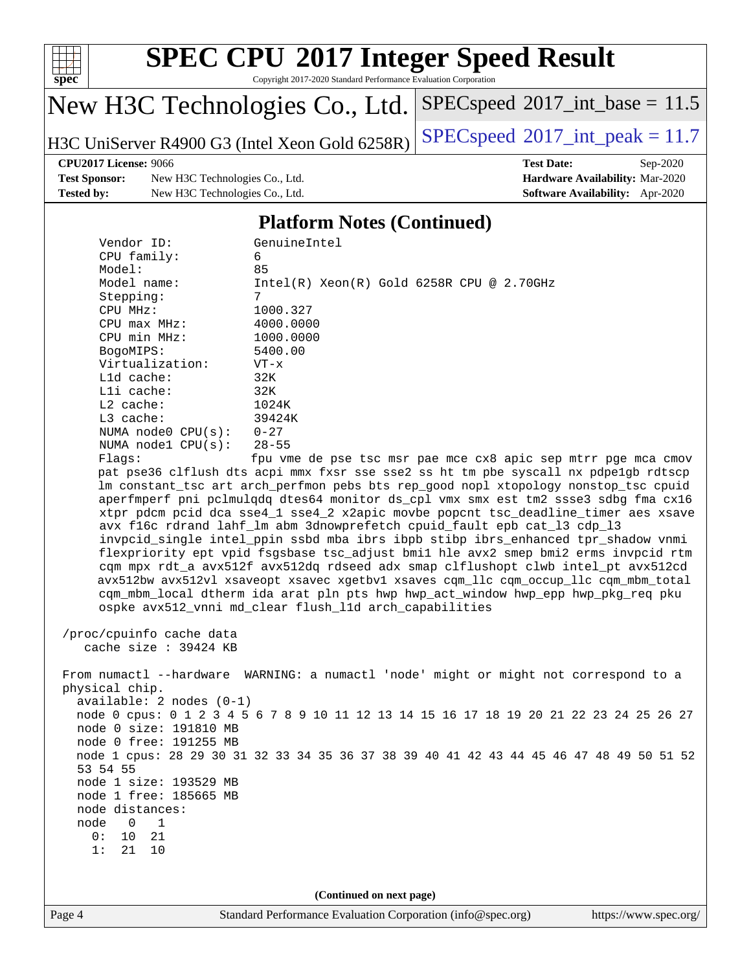

Copyright 2017-2020 Standard Performance Evaluation Corporation

# New H3C Technologies Co., Ltd.

H3C UniServer R4900 G3 (Intel Xeon Gold 6258R) [SPECspeed](http://www.spec.org/auto/cpu2017/Docs/result-fields.html#SPECspeed2017intpeak)<sup>®</sup>[2017\\_int\\_peak = 1](http://www.spec.org/auto/cpu2017/Docs/result-fields.html#SPECspeed2017intpeak)1.7

 $SPEC speed$ <sup>®</sup> $2017$ \_int\_base = 11.5

**[Test Sponsor:](http://www.spec.org/auto/cpu2017/Docs/result-fields.html#TestSponsor)** New H3C Technologies Co., Ltd. **[Hardware Availability:](http://www.spec.org/auto/cpu2017/Docs/result-fields.html#HardwareAvailability)** Mar-2020 **[Tested by:](http://www.spec.org/auto/cpu2017/Docs/result-fields.html#Testedby)** New H3C Technologies Co., Ltd. **[Software Availability:](http://www.spec.org/auto/cpu2017/Docs/result-fields.html#SoftwareAvailability)** Apr-2020

**[CPU2017 License:](http://www.spec.org/auto/cpu2017/Docs/result-fields.html#CPU2017License)** 9066 **[Test Date:](http://www.spec.org/auto/cpu2017/Docs/result-fields.html#TestDate)** Sep-2020

## **[Platform Notes \(Continued\)](http://www.spec.org/auto/cpu2017/Docs/result-fields.html#PlatformNotes)**

| Lld cache:                             | 32K                                                                                                                                                                    |                       |
|----------------------------------------|------------------------------------------------------------------------------------------------------------------------------------------------------------------------|-----------------------|
| Lli cache:                             | 32K                                                                                                                                                                    |                       |
| L2 cache:                              | 1024K                                                                                                                                                                  |                       |
| L3 cache:<br>NUMA node0 $CPU(s): 0-27$ | 39424K                                                                                                                                                                 |                       |
| NUMA $node1$ $CPU(s):$                 | $28 - 55$                                                                                                                                                              |                       |
| Flagg:                                 | fpu vme de pse tsc msr pae mce cx8 apic sep mtrr pge mca cmov                                                                                                          |                       |
|                                        | pat pse36 clflush dts acpi mmx fxsr sse sse2 ss ht tm pbe syscall nx pdpelgb rdtscp                                                                                    |                       |
|                                        | lm constant_tsc art arch_perfmon pebs bts rep_good nopl xtopology nonstop_tsc cpuid                                                                                    |                       |
|                                        | aperfmperf pni pclmulqdq dtes64 monitor ds_cpl vmx smx est tm2 ssse3 sdbg fma cx16                                                                                     |                       |
|                                        | xtpr pdcm pcid dca sse4_1 sse4_2 x2apic movbe popcnt tsc_deadline_timer aes xsave                                                                                      |                       |
|                                        | avx f16c rdrand lahf_lm abm 3dnowprefetch cpuid_fault epb cat_13 cdp_13                                                                                                |                       |
|                                        | invpcid_single intel_ppin ssbd mba ibrs ibpb stibp ibrs_enhanced tpr_shadow vnmi                                                                                       |                       |
|                                        | flexpriority ept vpid fsgsbase tsc_adjust bmil hle avx2 smep bmi2 erms invpcid rtm<br>cqm mpx rdt_a avx512f avx512dq rdseed adx smap clflushopt clwb intel_pt avx512cd |                       |
|                                        | avx512bw avx512vl xsaveopt xsavec xgetbvl xsaves cqm_llc cqm_occup_llc cqm_mbm_total                                                                                   |                       |
|                                        | cqm_mbm_local dtherm ida arat pln pts hwp hwp_act_window hwp_epp hwp_pkg_req pku                                                                                       |                       |
|                                        | ospke avx512_vnni md_clear flush_l1d arch_capabilities                                                                                                                 |                       |
|                                        |                                                                                                                                                                        |                       |
| /proc/cpuinfo cache data               |                                                                                                                                                                        |                       |
| cache size : 39424 KB                  |                                                                                                                                                                        |                       |
|                                        |                                                                                                                                                                        |                       |
| physical chip.                         | From numactl --hardware WARNING: a numactl 'node' might or might not correspond to a                                                                                   |                       |
| $available: 2 nodes (0-1)$             |                                                                                                                                                                        |                       |
|                                        | node 0 cpus: 0 1 2 3 4 5 6 7 8 9 10 11 12 13 14 15 16 17 18 19 20 21 22 23 24 25 26 27                                                                                 |                       |
| node 0 size: 191810 MB                 |                                                                                                                                                                        |                       |
| node 0 free: 191255 MB                 |                                                                                                                                                                        |                       |
|                                        | node 1 cpus: 28 29 30 31 32 33 34 35 36 37 38 39 40 41 42 43 44 45 46 47 48 49 50 51 52                                                                                |                       |
| 53 54 55                               |                                                                                                                                                                        |                       |
| node 1 size: 193529 MB                 |                                                                                                                                                                        |                       |
| node 1 free: 185665 MB                 |                                                                                                                                                                        |                       |
| node distances:<br>0                   |                                                                                                                                                                        |                       |
| node<br>1<br>10<br>21<br>0:            |                                                                                                                                                                        |                       |
| 21<br>10<br>1:                         |                                                                                                                                                                        |                       |
|                                        |                                                                                                                                                                        |                       |
|                                        |                                                                                                                                                                        |                       |
|                                        | (Continued on next page)                                                                                                                                               |                       |
| Page 4                                 | Standard Performance Evaluation Corporation (info@spec.org)                                                                                                            | https://www.spec.org/ |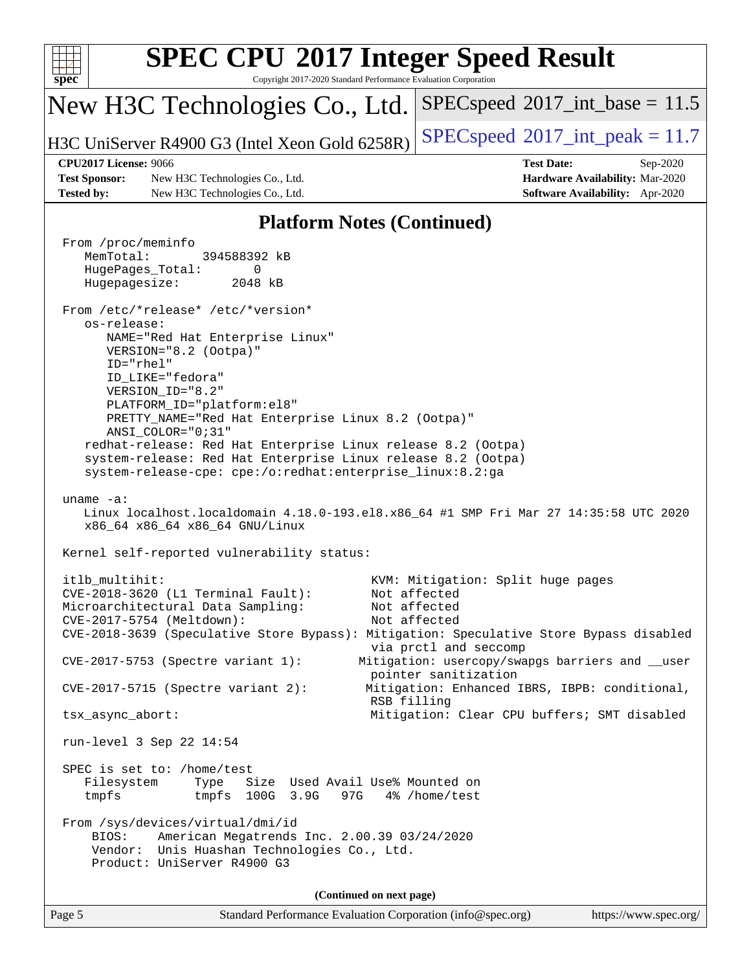| spec                              | <b>SPEC CPU®2017 Integer Speed Result</b><br>Copyright 2017-2020 Standard Performance Evaluation Corporation                                                                                                                                                                                                                                                                                                                                                                                                                                                                                                                                                                                |                                                                                                                                                                                       |  |  |  |  |  |
|-----------------------------------|---------------------------------------------------------------------------------------------------------------------------------------------------------------------------------------------------------------------------------------------------------------------------------------------------------------------------------------------------------------------------------------------------------------------------------------------------------------------------------------------------------------------------------------------------------------------------------------------------------------------------------------------------------------------------------------------|---------------------------------------------------------------------------------------------------------------------------------------------------------------------------------------|--|--|--|--|--|
|                                   | New H3C Technologies Co., Ltd.                                                                                                                                                                                                                                                                                                                                                                                                                                                                                                                                                                                                                                                              | $SPEC speed^{\circ}2017\_int\_base = 11.5$                                                                                                                                            |  |  |  |  |  |
|                                   | H3C UniServer R4900 G3 (Intel Xeon Gold 6258R)                                                                                                                                                                                                                                                                                                                                                                                                                                                                                                                                                                                                                                              | $SPEC speed^{\circ}2017\_int\_peak = 11.7$                                                                                                                                            |  |  |  |  |  |
|                                   | <b>CPU2017 License: 9066</b>                                                                                                                                                                                                                                                                                                                                                                                                                                                                                                                                                                                                                                                                | <b>Test Date:</b><br>Sep-2020                                                                                                                                                         |  |  |  |  |  |
|                                   | <b>Test Sponsor:</b><br>New H3C Technologies Co., Ltd.                                                                                                                                                                                                                                                                                                                                                                                                                                                                                                                                                                                                                                      | Hardware Availability: Mar-2020                                                                                                                                                       |  |  |  |  |  |
| <b>Tested by:</b>                 | New H3C Technologies Co., Ltd.                                                                                                                                                                                                                                                                                                                                                                                                                                                                                                                                                                                                                                                              | Software Availability: Apr-2020                                                                                                                                                       |  |  |  |  |  |
| <b>Platform Notes (Continued)</b> |                                                                                                                                                                                                                                                                                                                                                                                                                                                                                                                                                                                                                                                                                             |                                                                                                                                                                                       |  |  |  |  |  |
|                                   | From /proc/meminfo<br>MemTotal:<br>394588392 kB<br>HugePages_Total:<br>0<br>Hugepagesize:<br>2048 kB<br>From /etc/*release* /etc/*version*<br>os-release:<br>NAME="Red Hat Enterprise Linux"<br>VERSION="8.2 (Ootpa)"<br>$ID="rhe1"$<br>ID_LIKE="fedora"<br>VERSION_ID="8.2"<br>PLATFORM_ID="platform:el8"<br>PRETTY_NAME="Red Hat Enterprise Linux 8.2 (Ootpa)"<br>ANSI_COLOR="0;31"<br>redhat-release: Red Hat Enterprise Linux release 8.2 (Ootpa)<br>system-release: Red Hat Enterprise Linux release 8.2 (Ootpa)<br>system-release-cpe: cpe:/o:redhat:enterprise_linux:8.2:ga<br>uname $-a$ :<br>Linux localhost.localdomain 4.18.0-193.el8.x86_64 #1 SMP Fri Mar 27 14:35:58 UTC 2020 |                                                                                                                                                                                       |  |  |  |  |  |
|                                   | x86_64 x86_64 x86_64 GNU/Linux<br>Kernel self-reported vulnerability status:                                                                                                                                                                                                                                                                                                                                                                                                                                                                                                                                                                                                                |                                                                                                                                                                                       |  |  |  |  |  |
|                                   | itlb multihit:<br>CVE-2018-3620 (L1 Terminal Fault):<br>Microarchitectural Data Sampling:<br>CVE-2017-5754 (Meltdown):<br>CVE-2018-3639 (Speculative Store Bypass): Mitigation: Speculative Store Bypass disabled<br>CVE-2017-5753 (Spectre variant 1):                                                                                                                                                                                                                                                                                                                                                                                                                                     | KVM: Mitigation: Split huge pages<br>Not affected<br>Not affected<br>Not affected<br>via prctl and seccomp<br>Mitigation: usercopy/swapgs barriers and __user<br>pointer sanitization |  |  |  |  |  |
|                                   | $CVE-2017-5715$ (Spectre variant 2):<br>RSB filling                                                                                                                                                                                                                                                                                                                                                                                                                                                                                                                                                                                                                                         | Mitigation: Enhanced IBRS, IBPB: conditional,                                                                                                                                         |  |  |  |  |  |
|                                   | tsx_async_abort:                                                                                                                                                                                                                                                                                                                                                                                                                                                                                                                                                                                                                                                                            | Mitigation: Clear CPU buffers; SMT disabled                                                                                                                                           |  |  |  |  |  |
|                                   | run-level 3 Sep 22 14:54                                                                                                                                                                                                                                                                                                                                                                                                                                                                                                                                                                                                                                                                    |                                                                                                                                                                                       |  |  |  |  |  |
|                                   | SPEC is set to: /home/test<br>Size Used Avail Use% Mounted on<br>Filesystem<br>Type<br>100G 3.9G<br>97G<br>tmpfs<br>tmpfs<br>From /sys/devices/virtual/dmi/id<br>American Megatrends Inc. 2.00.39 03/24/2020<br>BIOS:<br>Vendor: Unis Huashan Technologies Co., Ltd.<br>Product: UniServer R4900 G3                                                                                                                                                                                                                                                                                                                                                                                         | 4% /home/test                                                                                                                                                                         |  |  |  |  |  |
|                                   | (Continued on next page)                                                                                                                                                                                                                                                                                                                                                                                                                                                                                                                                                                                                                                                                    |                                                                                                                                                                                       |  |  |  |  |  |
| Page 5                            | Standard Performance Evaluation Corporation (info@spec.org)                                                                                                                                                                                                                                                                                                                                                                                                                                                                                                                                                                                                                                 | https://www.spec.org/                                                                                                                                                                 |  |  |  |  |  |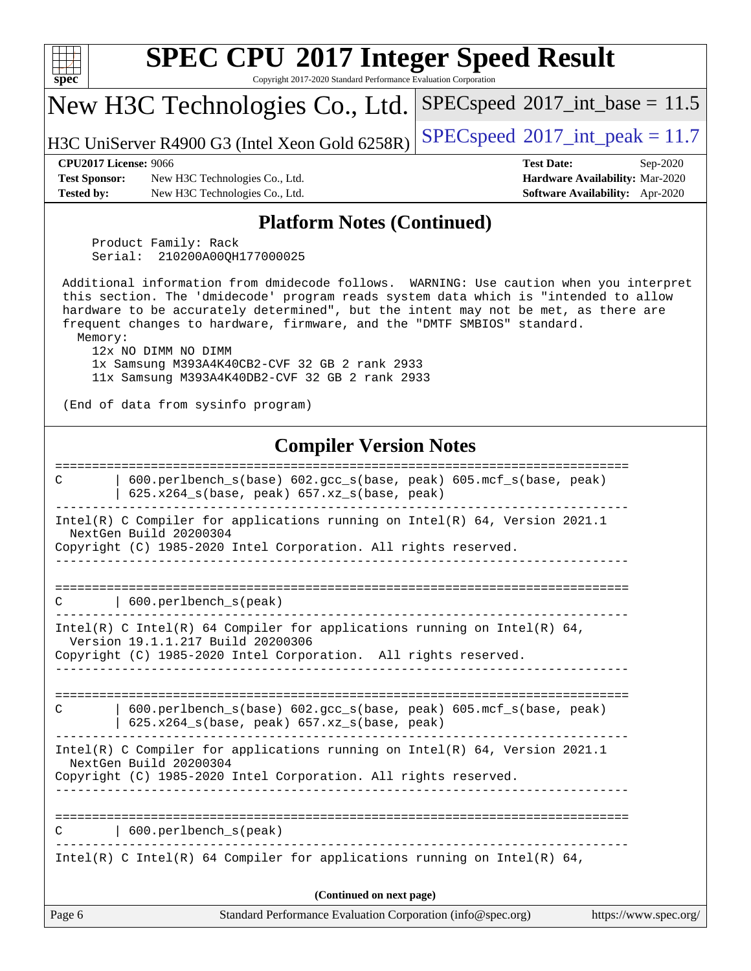| <b>SPEC CPU®2017 Integer Speed Result</b><br>Copyright 2017-2020 Standard Performance Evaluation Corporation<br>$\mathbf{Spec}^*$                                                                                                                                                                                                                                                                                                                                                                                         |                                                                                                            |  |  |  |  |  |  |
|---------------------------------------------------------------------------------------------------------------------------------------------------------------------------------------------------------------------------------------------------------------------------------------------------------------------------------------------------------------------------------------------------------------------------------------------------------------------------------------------------------------------------|------------------------------------------------------------------------------------------------------------|--|--|--|--|--|--|
| New H3C Technologies Co., Ltd.                                                                                                                                                                                                                                                                                                                                                                                                                                                                                            | $SPEC speed^{\circ}2017\_int\_base = 11.5$                                                                 |  |  |  |  |  |  |
| H3C UniServer R4900 G3 (Intel Xeon Gold 6258R)                                                                                                                                                                                                                                                                                                                                                                                                                                                                            | $SPEC speed^{\circ}2017\_int\_peak = 11.7$                                                                 |  |  |  |  |  |  |
| <b>CPU2017 License: 9066</b><br><b>Test Sponsor:</b><br>New H3C Technologies Co., Ltd.<br><b>Tested by:</b><br>New H3C Technologies Co., Ltd.                                                                                                                                                                                                                                                                                                                                                                             | <b>Test Date:</b><br>Sep-2020<br>Hardware Availability: Mar-2020<br><b>Software Availability:</b> Apr-2020 |  |  |  |  |  |  |
| <b>Platform Notes (Continued)</b>                                                                                                                                                                                                                                                                                                                                                                                                                                                                                         |                                                                                                            |  |  |  |  |  |  |
| Product Family: Rack<br>210200A00QH177000025<br>Serial:                                                                                                                                                                                                                                                                                                                                                                                                                                                                   |                                                                                                            |  |  |  |  |  |  |
| Additional information from dmidecode follows. WARNING: Use caution when you interpret<br>this section. The 'dmidecode' program reads system data which is "intended to allow<br>hardware to be accurately determined", but the intent may not be met, as there are<br>frequent changes to hardware, firmware, and the "DMTF SMBIOS" standard.<br>Memory:<br>12x NO DIMM NO DIMM<br>1x Samsung M393A4K40CB2-CVF 32 GB 2 rank 2933<br>11x Samsung M393A4K40DB2-CVF 32 GB 2 rank 2933<br>(End of data from sysinfo program) |                                                                                                            |  |  |  |  |  |  |
|                                                                                                                                                                                                                                                                                                                                                                                                                                                                                                                           |                                                                                                            |  |  |  |  |  |  |
| <b>Compiler Version Notes</b>                                                                                                                                                                                                                                                                                                                                                                                                                                                                                             |                                                                                                            |  |  |  |  |  |  |
| 600.perlbench_s(base) 602.gcc_s(base, peak) 605.mcf_s(base, peak)<br>C<br>625.x264_s(base, peak) 657.xz_s(base, peak)                                                                                                                                                                                                                                                                                                                                                                                                     |                                                                                                            |  |  |  |  |  |  |
| Intel(R) C Compiler for applications running on $Intel(R) 64$ , Version 2021.1<br>NextGen Build 20200304<br>Copyright (C) 1985-2020 Intel Corporation. All rights reserved.                                                                                                                                                                                                                                                                                                                                               |                                                                                                            |  |  |  |  |  |  |
| 600.perlbench_s(peak)<br>C                                                                                                                                                                                                                                                                                                                                                                                                                                                                                                |                                                                                                            |  |  |  |  |  |  |
| Intel(R) C Intel(R) 64 Compiler for applications running on Intel(R) 64,<br>Version 19.1.1.217 Build 20200306<br>Copyright (C) 1985-2020 Intel Corporation. All rights reserved.                                                                                                                                                                                                                                                                                                                                          |                                                                                                            |  |  |  |  |  |  |
| ===========<br>600.perlbench_s(base) 602.gcc_s(base, peak) 605.mcf_s(base, peak)<br>C<br>625.x264_s(base, peak) 657.xz_s(base, peak)                                                                                                                                                                                                                                                                                                                                                                                      |                                                                                                            |  |  |  |  |  |  |
| Intel(R) C Compiler for applications running on Intel(R) 64, Version 2021.1<br>NextGen Build 20200304<br>Copyright (C) 1985-2020 Intel Corporation. All rights reserved.<br>_________________________________                                                                                                                                                                                                                                                                                                             |                                                                                                            |  |  |  |  |  |  |
| 600.perlbench_s(peak)<br>C                                                                                                                                                                                                                                                                                                                                                                                                                                                                                                |                                                                                                            |  |  |  |  |  |  |
| Intel(R) C Intel(R) 64 Compiler for applications running on Intel(R) 64,                                                                                                                                                                                                                                                                                                                                                                                                                                                  |                                                                                                            |  |  |  |  |  |  |
| (Continued on next page)                                                                                                                                                                                                                                                                                                                                                                                                                                                                                                  |                                                                                                            |  |  |  |  |  |  |
| Page 6<br>Standard Performance Evaluation Corporation (info@spec.org)                                                                                                                                                                                                                                                                                                                                                                                                                                                     | https://www.spec.org/                                                                                      |  |  |  |  |  |  |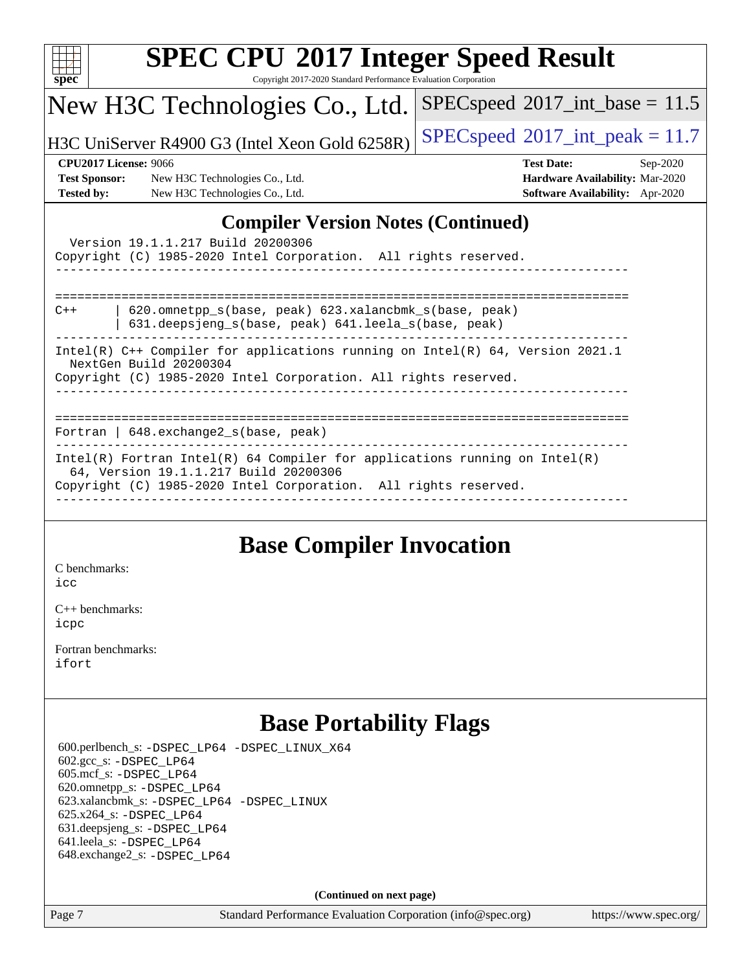| <b>SPEC CPU®2017 Integer Speed Result</b>                                                                                                                                                                                                                                                                                                                     |                                            |  |  |  |  |
|---------------------------------------------------------------------------------------------------------------------------------------------------------------------------------------------------------------------------------------------------------------------------------------------------------------------------------------------------------------|--------------------------------------------|--|--|--|--|
| Copyright 2017-2020 Standard Performance Evaluation Corporation<br>$spec^*$                                                                                                                                                                                                                                                                                   |                                            |  |  |  |  |
| New H3C Technologies Co., Ltd.                                                                                                                                                                                                                                                                                                                                | $SPEC speed^{\circ}2017\_int\_base = 11.5$ |  |  |  |  |
| H3C UniServer R4900 G3 (Intel Xeon Gold 6258R)                                                                                                                                                                                                                                                                                                                | $SPEC speed^{\circ}2017\_int\_peak = 11.7$ |  |  |  |  |
| <b>CPU2017 License: 9066</b>                                                                                                                                                                                                                                                                                                                                  | <b>Test Date:</b><br>Sep-2020              |  |  |  |  |
| <b>Test Sponsor:</b><br>New H3C Technologies Co., Ltd.                                                                                                                                                                                                                                                                                                        | Hardware Availability: Mar-2020            |  |  |  |  |
| <b>Tested by:</b><br>New H3C Technologies Co., Ltd.                                                                                                                                                                                                                                                                                                           | Software Availability: Apr-2020            |  |  |  |  |
| <b>Compiler Version Notes (Continued)</b><br>Version 19.1.1.217 Build 20200306<br>Copyright (C) 1985-2020 Intel Corporation. All rights reserved.<br>620.omnetpp_s(base, peak) 623.xalancbmk_s(base, peak)<br>$C++$<br>631.deepsjeng_s(base, peak) 641.leela_s(base, peak)<br>Intel(R) $C++$ Compiler for applications running on Intel(R) 64, Version 2021.1 |                                            |  |  |  |  |
| NextGen Build 20200304<br>Copyright (C) 1985-2020 Intel Corporation. All rights reserved.                                                                                                                                                                                                                                                                     |                                            |  |  |  |  |
| Fortran   648. exchange2_s(base, peak)                                                                                                                                                                                                                                                                                                                        |                                            |  |  |  |  |
| $Intel(R)$ Fortran Intel(R) 64 Compiler for applications running on Intel(R)<br>64, Version 19.1.1.217 Build 20200306<br>Copyright (C) 1985-2020 Intel Corporation. All rights reserved.                                                                                                                                                                      |                                            |  |  |  |  |
|                                                                                                                                                                                                                                                                                                                                                               |                                            |  |  |  |  |

# **[Base Compiler Invocation](http://www.spec.org/auto/cpu2017/Docs/result-fields.html#BaseCompilerInvocation)**

[C benchmarks](http://www.spec.org/auto/cpu2017/Docs/result-fields.html#Cbenchmarks): [icc](http://www.spec.org/cpu2017/results/res2020q4/cpu2017-20201014-24216.flags.html#user_CCbase_intel_icc_66fc1ee009f7361af1fbd72ca7dcefbb700085f36577c54f309893dd4ec40d12360134090235512931783d35fd58c0460139e722d5067c5574d8eaf2b3e37e92)

[C++ benchmarks:](http://www.spec.org/auto/cpu2017/Docs/result-fields.html#CXXbenchmarks) [icpc](http://www.spec.org/cpu2017/results/res2020q4/cpu2017-20201014-24216.flags.html#user_CXXbase_intel_icpc_c510b6838c7f56d33e37e94d029a35b4a7bccf4766a728ee175e80a419847e808290a9b78be685c44ab727ea267ec2f070ec5dc83b407c0218cded6866a35d07)

[Fortran benchmarks](http://www.spec.org/auto/cpu2017/Docs/result-fields.html#Fortranbenchmarks): [ifort](http://www.spec.org/cpu2017/results/res2020q4/cpu2017-20201014-24216.flags.html#user_FCbase_intel_ifort_8111460550e3ca792625aed983ce982f94888b8b503583aa7ba2b8303487b4d8a21a13e7191a45c5fd58ff318f48f9492884d4413fa793fd88dd292cad7027ca)

# **[Base Portability Flags](http://www.spec.org/auto/cpu2017/Docs/result-fields.html#BasePortabilityFlags)**

 600.perlbench\_s: [-DSPEC\\_LP64](http://www.spec.org/cpu2017/results/res2020q4/cpu2017-20201014-24216.flags.html#b600.perlbench_s_basePORTABILITY_DSPEC_LP64) [-DSPEC\\_LINUX\\_X64](http://www.spec.org/cpu2017/results/res2020q4/cpu2017-20201014-24216.flags.html#b600.perlbench_s_baseCPORTABILITY_DSPEC_LINUX_X64) 602.gcc\_s: [-DSPEC\\_LP64](http://www.spec.org/cpu2017/results/res2020q4/cpu2017-20201014-24216.flags.html#suite_basePORTABILITY602_gcc_s_DSPEC_LP64) 605.mcf\_s: [-DSPEC\\_LP64](http://www.spec.org/cpu2017/results/res2020q4/cpu2017-20201014-24216.flags.html#suite_basePORTABILITY605_mcf_s_DSPEC_LP64) 620.omnetpp\_s: [-DSPEC\\_LP64](http://www.spec.org/cpu2017/results/res2020q4/cpu2017-20201014-24216.flags.html#suite_basePORTABILITY620_omnetpp_s_DSPEC_LP64) 623.xalancbmk\_s: [-DSPEC\\_LP64](http://www.spec.org/cpu2017/results/res2020q4/cpu2017-20201014-24216.flags.html#suite_basePORTABILITY623_xalancbmk_s_DSPEC_LP64) [-DSPEC\\_LINUX](http://www.spec.org/cpu2017/results/res2020q4/cpu2017-20201014-24216.flags.html#b623.xalancbmk_s_baseCXXPORTABILITY_DSPEC_LINUX) 625.x264\_s: [-DSPEC\\_LP64](http://www.spec.org/cpu2017/results/res2020q4/cpu2017-20201014-24216.flags.html#suite_basePORTABILITY625_x264_s_DSPEC_LP64) 631.deepsjeng\_s: [-DSPEC\\_LP64](http://www.spec.org/cpu2017/results/res2020q4/cpu2017-20201014-24216.flags.html#suite_basePORTABILITY631_deepsjeng_s_DSPEC_LP64) 641.leela\_s: [-DSPEC\\_LP64](http://www.spec.org/cpu2017/results/res2020q4/cpu2017-20201014-24216.flags.html#suite_basePORTABILITY641_leela_s_DSPEC_LP64) 648.exchange2\_s: [-DSPEC\\_LP64](http://www.spec.org/cpu2017/results/res2020q4/cpu2017-20201014-24216.flags.html#suite_basePORTABILITY648_exchange2_s_DSPEC_LP64)

**(Continued on next page)**

Page 7 Standard Performance Evaluation Corporation [\(info@spec.org\)](mailto:info@spec.org) <https://www.spec.org/>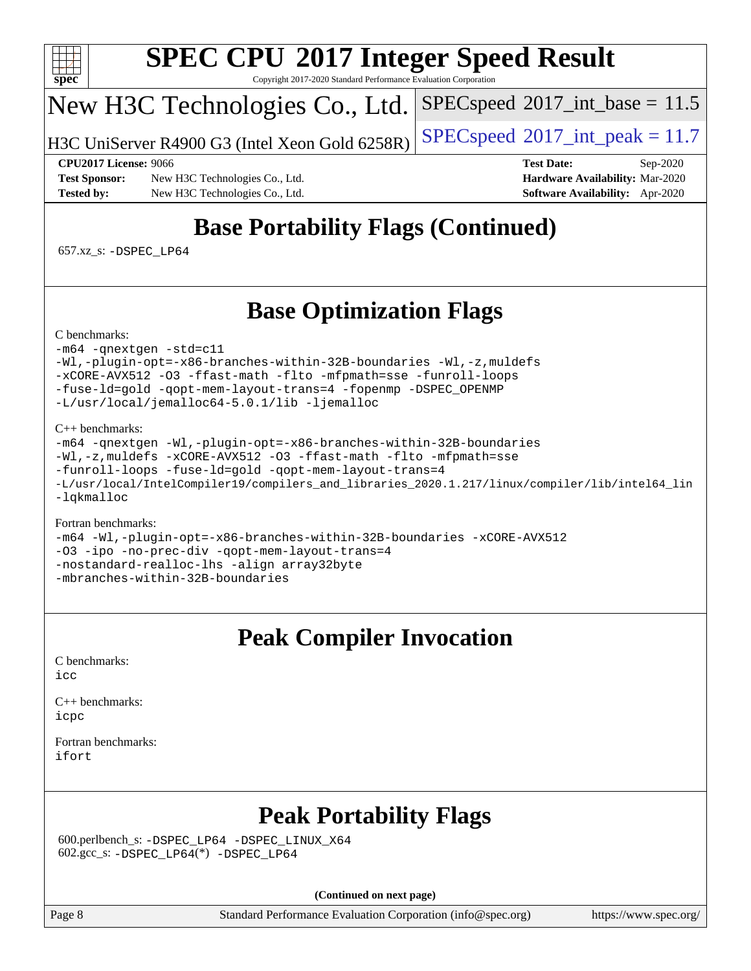

Copyright 2017-2020 Standard Performance Evaluation Corporation

# New H3C Technologies Co., Ltd.

H3C UniServer R4900 G3 (Intel Xeon Gold 6258R)  $\big|\,\text{SPEC speed}^{\circledR}2017\_\text{int\_peak} = 11.7$ 

 $SPECspeed^{\circ}2017\_int\_base = 11.5$  $SPECspeed^{\circ}2017\_int\_base = 11.5$ 

**[Test Sponsor:](http://www.spec.org/auto/cpu2017/Docs/result-fields.html#TestSponsor)** New H3C Technologies Co., Ltd. **[Hardware Availability:](http://www.spec.org/auto/cpu2017/Docs/result-fields.html#HardwareAvailability)** Mar-2020 **[Tested by:](http://www.spec.org/auto/cpu2017/Docs/result-fields.html#Testedby)** New H3C Technologies Co., Ltd. **[Software Availability:](http://www.spec.org/auto/cpu2017/Docs/result-fields.html#SoftwareAvailability)** Apr-2020

**[CPU2017 License:](http://www.spec.org/auto/cpu2017/Docs/result-fields.html#CPU2017License)** 9066 **[Test Date:](http://www.spec.org/auto/cpu2017/Docs/result-fields.html#TestDate)** Sep-2020

# **[Base Portability Flags \(Continued\)](http://www.spec.org/auto/cpu2017/Docs/result-fields.html#BasePortabilityFlags)**

657.xz\_s: [-DSPEC\\_LP64](http://www.spec.org/cpu2017/results/res2020q4/cpu2017-20201014-24216.flags.html#suite_basePORTABILITY657_xz_s_DSPEC_LP64)

# **[Base Optimization Flags](http://www.spec.org/auto/cpu2017/Docs/result-fields.html#BaseOptimizationFlags)**

[C benchmarks](http://www.spec.org/auto/cpu2017/Docs/result-fields.html#Cbenchmarks):

### [-m64](http://www.spec.org/cpu2017/results/res2020q4/cpu2017-20201014-24216.flags.html#user_CCbase_m64-icc) [-qnextgen](http://www.spec.org/cpu2017/results/res2020q4/cpu2017-20201014-24216.flags.html#user_CCbase_f-qnextgen) [-std=c11](http://www.spec.org/cpu2017/results/res2020q4/cpu2017-20201014-24216.flags.html#user_CCbase_std-icc-std_0e1c27790398a4642dfca32ffe6c27b5796f9c2d2676156f2e42c9c44eaad0c049b1cdb667a270c34d979996257aeb8fc440bfb01818dbc9357bd9d174cb8524) [-Wl,-plugin-opt=-x86-branches-within-32B-boundaries](http://www.spec.org/cpu2017/results/res2020q4/cpu2017-20201014-24216.flags.html#user_CCbase_f-x86-branches-within-32B-boundaries_0098b4e4317ae60947b7b728078a624952a08ac37a3c797dfb4ffeb399e0c61a9dd0f2f44ce917e9361fb9076ccb15e7824594512dd315205382d84209e912f3) [-Wl,-z,muldefs](http://www.spec.org/cpu2017/results/res2020q4/cpu2017-20201014-24216.flags.html#user_CCbase_link_force_multiple1_b4cbdb97b34bdee9ceefcfe54f4c8ea74255f0b02a4b23e853cdb0e18eb4525ac79b5a88067c842dd0ee6996c24547a27a4b99331201badda8798ef8a743f577) [-xCORE-AVX512](http://www.spec.org/cpu2017/results/res2020q4/cpu2017-20201014-24216.flags.html#user_CCbase_f-xCORE-AVX512) [-O3](http://www.spec.org/cpu2017/results/res2020q4/cpu2017-20201014-24216.flags.html#user_CCbase_f-O3) [-ffast-math](http://www.spec.org/cpu2017/results/res2020q4/cpu2017-20201014-24216.flags.html#user_CCbase_f-ffast-math) [-flto](http://www.spec.org/cpu2017/results/res2020q4/cpu2017-20201014-24216.flags.html#user_CCbase_f-flto) [-mfpmath=sse](http://www.spec.org/cpu2017/results/res2020q4/cpu2017-20201014-24216.flags.html#user_CCbase_f-mfpmath_70eb8fac26bde974f8ab713bc9086c5621c0b8d2f6c86f38af0bd7062540daf19db5f3a066d8c6684be05d84c9b6322eb3b5be6619d967835195b93d6c02afa1) [-funroll-loops](http://www.spec.org/cpu2017/results/res2020q4/cpu2017-20201014-24216.flags.html#user_CCbase_f-funroll-loops) [-fuse-ld=gold](http://www.spec.org/cpu2017/results/res2020q4/cpu2017-20201014-24216.flags.html#user_CCbase_f-fuse-ld_920b3586e2b8c6e0748b9c84fa9b744736ba725a32cab14ad8f3d4ad28eecb2f59d1144823d2e17006539a88734fe1fc08fc3035f7676166309105a78aaabc32) [-qopt-mem-layout-trans=4](http://www.spec.org/cpu2017/results/res2020q4/cpu2017-20201014-24216.flags.html#user_CCbase_f-qopt-mem-layout-trans_fa39e755916c150a61361b7846f310bcdf6f04e385ef281cadf3647acec3f0ae266d1a1d22d972a7087a248fd4e6ca390a3634700869573d231a252c784941a8) [-fopenmp](http://www.spec.org/cpu2017/results/res2020q4/cpu2017-20201014-24216.flags.html#user_CCbase_fopenmp_5aa2e47ce4f2ef030ba5d12d5a7a9c4e57167333d78243fcadb80b48d5abb78ff19333f8478e0b2a41e63049eb285965c145ccab7b93db7d0c4d59e4dc6f5591) [-DSPEC\\_OPENMP](http://www.spec.org/cpu2017/results/res2020q4/cpu2017-20201014-24216.flags.html#suite_CCbase_DSPEC_OPENMP) [-L/usr/local/jemalloc64-5.0.1/lib](http://www.spec.org/cpu2017/results/res2020q4/cpu2017-20201014-24216.flags.html#user_CCbase_jemalloc_link_path64_1_cc289568b1a6c0fd3b62c91b824c27fcb5af5e8098e6ad028160d21144ef1b8aef3170d2acf0bee98a8da324cfe4f67d0a3d0c4cc4673d993d694dc2a0df248b) [-ljemalloc](http://www.spec.org/cpu2017/results/res2020q4/cpu2017-20201014-24216.flags.html#user_CCbase_jemalloc_link_lib_d1249b907c500fa1c0672f44f562e3d0f79738ae9e3c4a9c376d49f265a04b9c99b167ecedbf6711b3085be911c67ff61f150a17b3472be731631ba4d0471706)

### [C++ benchmarks:](http://www.spec.org/auto/cpu2017/Docs/result-fields.html#CXXbenchmarks)

[-m64](http://www.spec.org/cpu2017/results/res2020q4/cpu2017-20201014-24216.flags.html#user_CXXbase_m64-icc) [-qnextgen](http://www.spec.org/cpu2017/results/res2020q4/cpu2017-20201014-24216.flags.html#user_CXXbase_f-qnextgen) [-Wl,-plugin-opt=-x86-branches-within-32B-boundaries](http://www.spec.org/cpu2017/results/res2020q4/cpu2017-20201014-24216.flags.html#user_CXXbase_f-x86-branches-within-32B-boundaries_0098b4e4317ae60947b7b728078a624952a08ac37a3c797dfb4ffeb399e0c61a9dd0f2f44ce917e9361fb9076ccb15e7824594512dd315205382d84209e912f3) [-Wl,-z,muldefs](http://www.spec.org/cpu2017/results/res2020q4/cpu2017-20201014-24216.flags.html#user_CXXbase_link_force_multiple1_b4cbdb97b34bdee9ceefcfe54f4c8ea74255f0b02a4b23e853cdb0e18eb4525ac79b5a88067c842dd0ee6996c24547a27a4b99331201badda8798ef8a743f577) [-xCORE-AVX512](http://www.spec.org/cpu2017/results/res2020q4/cpu2017-20201014-24216.flags.html#user_CXXbase_f-xCORE-AVX512) [-O3](http://www.spec.org/cpu2017/results/res2020q4/cpu2017-20201014-24216.flags.html#user_CXXbase_f-O3) [-ffast-math](http://www.spec.org/cpu2017/results/res2020q4/cpu2017-20201014-24216.flags.html#user_CXXbase_f-ffast-math) [-flto](http://www.spec.org/cpu2017/results/res2020q4/cpu2017-20201014-24216.flags.html#user_CXXbase_f-flto) [-mfpmath=sse](http://www.spec.org/cpu2017/results/res2020q4/cpu2017-20201014-24216.flags.html#user_CXXbase_f-mfpmath_70eb8fac26bde974f8ab713bc9086c5621c0b8d2f6c86f38af0bd7062540daf19db5f3a066d8c6684be05d84c9b6322eb3b5be6619d967835195b93d6c02afa1) [-funroll-loops](http://www.spec.org/cpu2017/results/res2020q4/cpu2017-20201014-24216.flags.html#user_CXXbase_f-funroll-loops) [-fuse-ld=gold](http://www.spec.org/cpu2017/results/res2020q4/cpu2017-20201014-24216.flags.html#user_CXXbase_f-fuse-ld_920b3586e2b8c6e0748b9c84fa9b744736ba725a32cab14ad8f3d4ad28eecb2f59d1144823d2e17006539a88734fe1fc08fc3035f7676166309105a78aaabc32) [-qopt-mem-layout-trans=4](http://www.spec.org/cpu2017/results/res2020q4/cpu2017-20201014-24216.flags.html#user_CXXbase_f-qopt-mem-layout-trans_fa39e755916c150a61361b7846f310bcdf6f04e385ef281cadf3647acec3f0ae266d1a1d22d972a7087a248fd4e6ca390a3634700869573d231a252c784941a8) [-L/usr/local/IntelCompiler19/compilers\\_and\\_libraries\\_2020.1.217/linux/compiler/lib/intel64\\_lin](http://www.spec.org/cpu2017/results/res2020q4/cpu2017-20201014-24216.flags.html#user_CXXbase_linkpath_2cb6f503891ebf8baee7515f4e7d4ec1217444d1d05903cc0091ac4158de400651d2b2313a9fa414cb8a8f0e16ab029634f5c6db340f400369c190d4db8a54a0) [-lqkmalloc](http://www.spec.org/cpu2017/results/res2020q4/cpu2017-20201014-24216.flags.html#user_CXXbase_qkmalloc_link_lib_79a818439969f771c6bc311cfd333c00fc099dad35c030f5aab9dda831713d2015205805422f83de8875488a2991c0a156aaa600e1f9138f8fc37004abc96dc5)

### [Fortran benchmarks:](http://www.spec.org/auto/cpu2017/Docs/result-fields.html#Fortranbenchmarks)

[-m64](http://www.spec.org/cpu2017/results/res2020q4/cpu2017-20201014-24216.flags.html#user_FCbase_m64-icc) [-Wl,-plugin-opt=-x86-branches-within-32B-boundaries](http://www.spec.org/cpu2017/results/res2020q4/cpu2017-20201014-24216.flags.html#user_FCbase_f-x86-branches-within-32B-boundaries_0098b4e4317ae60947b7b728078a624952a08ac37a3c797dfb4ffeb399e0c61a9dd0f2f44ce917e9361fb9076ccb15e7824594512dd315205382d84209e912f3) [-xCORE-AVX512](http://www.spec.org/cpu2017/results/res2020q4/cpu2017-20201014-24216.flags.html#user_FCbase_f-xCORE-AVX512) [-O3](http://www.spec.org/cpu2017/results/res2020q4/cpu2017-20201014-24216.flags.html#user_FCbase_f-O3) [-ipo](http://www.spec.org/cpu2017/results/res2020q4/cpu2017-20201014-24216.flags.html#user_FCbase_f-ipo) [-no-prec-div](http://www.spec.org/cpu2017/results/res2020q4/cpu2017-20201014-24216.flags.html#user_FCbase_f-no-prec-div) [-qopt-mem-layout-trans=4](http://www.spec.org/cpu2017/results/res2020q4/cpu2017-20201014-24216.flags.html#user_FCbase_f-qopt-mem-layout-trans_fa39e755916c150a61361b7846f310bcdf6f04e385ef281cadf3647acec3f0ae266d1a1d22d972a7087a248fd4e6ca390a3634700869573d231a252c784941a8) [-nostandard-realloc-lhs](http://www.spec.org/cpu2017/results/res2020q4/cpu2017-20201014-24216.flags.html#user_FCbase_f_2003_std_realloc_82b4557e90729c0f113870c07e44d33d6f5a304b4f63d4c15d2d0f1fab99f5daaed73bdb9275d9ae411527f28b936061aa8b9c8f2d63842963b95c9dd6426b8a) [-align array32byte](http://www.spec.org/cpu2017/results/res2020q4/cpu2017-20201014-24216.flags.html#user_FCbase_align_array32byte_b982fe038af199962ba9a80c053b8342c548c85b40b8e86eb3cc33dee0d7986a4af373ac2d51c3f7cf710a18d62fdce2948f201cd044323541f22fc0fffc51b6) [-mbranches-within-32B-boundaries](http://www.spec.org/cpu2017/results/res2020q4/cpu2017-20201014-24216.flags.html#user_FCbase_f-mbranches-within-32B-boundaries)

# **[Peak Compiler Invocation](http://www.spec.org/auto/cpu2017/Docs/result-fields.html#PeakCompilerInvocation)**

[C benchmarks](http://www.spec.org/auto/cpu2017/Docs/result-fields.html#Cbenchmarks): [icc](http://www.spec.org/cpu2017/results/res2020q4/cpu2017-20201014-24216.flags.html#user_CCpeak_intel_icc_66fc1ee009f7361af1fbd72ca7dcefbb700085f36577c54f309893dd4ec40d12360134090235512931783d35fd58c0460139e722d5067c5574d8eaf2b3e37e92)

[C++ benchmarks:](http://www.spec.org/auto/cpu2017/Docs/result-fields.html#CXXbenchmarks) [icpc](http://www.spec.org/cpu2017/results/res2020q4/cpu2017-20201014-24216.flags.html#user_CXXpeak_intel_icpc_c510b6838c7f56d33e37e94d029a35b4a7bccf4766a728ee175e80a419847e808290a9b78be685c44ab727ea267ec2f070ec5dc83b407c0218cded6866a35d07)

[Fortran benchmarks](http://www.spec.org/auto/cpu2017/Docs/result-fields.html#Fortranbenchmarks): [ifort](http://www.spec.org/cpu2017/results/res2020q4/cpu2017-20201014-24216.flags.html#user_FCpeak_intel_ifort_8111460550e3ca792625aed983ce982f94888b8b503583aa7ba2b8303487b4d8a21a13e7191a45c5fd58ff318f48f9492884d4413fa793fd88dd292cad7027ca)

# **[Peak Portability Flags](http://www.spec.org/auto/cpu2017/Docs/result-fields.html#PeakPortabilityFlags)**

 600.perlbench\_s: [-DSPEC\\_LP64](http://www.spec.org/cpu2017/results/res2020q4/cpu2017-20201014-24216.flags.html#b600.perlbench_s_peakPORTABILITY_DSPEC_LP64) [-DSPEC\\_LINUX\\_X64](http://www.spec.org/cpu2017/results/res2020q4/cpu2017-20201014-24216.flags.html#b600.perlbench_s_peakCPORTABILITY_DSPEC_LINUX_X64)  $602.\text{gcc}\$ : -DSPEC LP64(\*) -DSPEC LP64

**(Continued on next page)**

Page 8 Standard Performance Evaluation Corporation [\(info@spec.org\)](mailto:info@spec.org) <https://www.spec.org/>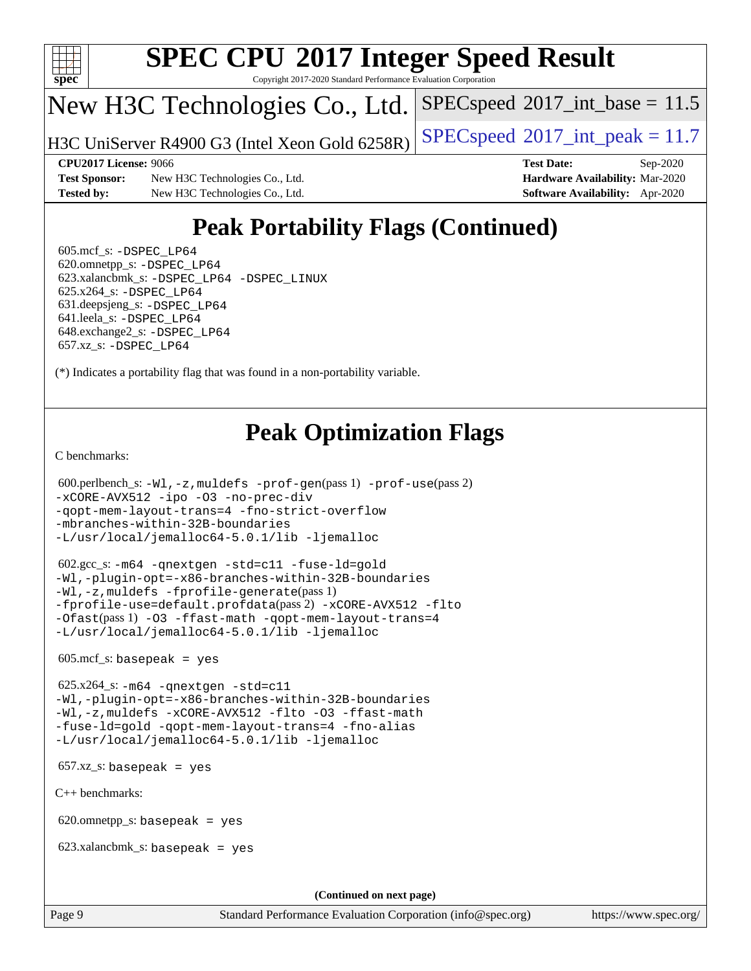

Copyright 2017-2020 Standard Performance Evaluation Corporation

# New H3C Technologies Co., Ltd.

H3C UniServer R4900 G3 (Intel Xeon Gold  $6258R$ ) [SPECspeed](http://www.spec.org/auto/cpu2017/Docs/result-fields.html#SPECspeed2017intpeak)®[2017\\_int\\_peak = 1](http://www.spec.org/auto/cpu2017/Docs/result-fields.html#SPECspeed2017intpeak)1.7

 $SPECspeed^{\circ}2017\_int\_base = 11.5$  $SPECspeed^{\circ}2017\_int\_base = 11.5$ 

**[Test Sponsor:](http://www.spec.org/auto/cpu2017/Docs/result-fields.html#TestSponsor)** New H3C Technologies Co., Ltd. **[Hardware Availability:](http://www.spec.org/auto/cpu2017/Docs/result-fields.html#HardwareAvailability)** Mar-2020 **[Tested by:](http://www.spec.org/auto/cpu2017/Docs/result-fields.html#Testedby)** New H3C Technologies Co., Ltd. **[Software Availability:](http://www.spec.org/auto/cpu2017/Docs/result-fields.html#SoftwareAvailability)** Apr-2020

**[CPU2017 License:](http://www.spec.org/auto/cpu2017/Docs/result-fields.html#CPU2017License)** 9066 **[Test Date:](http://www.spec.org/auto/cpu2017/Docs/result-fields.html#TestDate)** Sep-2020

# **[Peak Portability Flags \(Continued\)](http://www.spec.org/auto/cpu2017/Docs/result-fields.html#PeakPortabilityFlags)**

 605.mcf\_s: [-DSPEC\\_LP64](http://www.spec.org/cpu2017/results/res2020q4/cpu2017-20201014-24216.flags.html#suite_peakPORTABILITY605_mcf_s_DSPEC_LP64) 620.omnetpp\_s: [-DSPEC\\_LP64](http://www.spec.org/cpu2017/results/res2020q4/cpu2017-20201014-24216.flags.html#suite_peakPORTABILITY620_omnetpp_s_DSPEC_LP64) 623.xalancbmk\_s: [-DSPEC\\_LP64](http://www.spec.org/cpu2017/results/res2020q4/cpu2017-20201014-24216.flags.html#suite_peakPORTABILITY623_xalancbmk_s_DSPEC_LP64) [-DSPEC\\_LINUX](http://www.spec.org/cpu2017/results/res2020q4/cpu2017-20201014-24216.flags.html#b623.xalancbmk_s_peakCXXPORTABILITY_DSPEC_LINUX) 625.x264\_s: [-DSPEC\\_LP64](http://www.spec.org/cpu2017/results/res2020q4/cpu2017-20201014-24216.flags.html#suite_peakPORTABILITY625_x264_s_DSPEC_LP64) 631.deepsjeng\_s: [-DSPEC\\_LP64](http://www.spec.org/cpu2017/results/res2020q4/cpu2017-20201014-24216.flags.html#suite_peakPORTABILITY631_deepsjeng_s_DSPEC_LP64) 641.leela\_s: [-DSPEC\\_LP64](http://www.spec.org/cpu2017/results/res2020q4/cpu2017-20201014-24216.flags.html#suite_peakPORTABILITY641_leela_s_DSPEC_LP64) 648.exchange2\_s: [-DSPEC\\_LP64](http://www.spec.org/cpu2017/results/res2020q4/cpu2017-20201014-24216.flags.html#suite_peakPORTABILITY648_exchange2_s_DSPEC_LP64) 657.xz\_s: [-DSPEC\\_LP64](http://www.spec.org/cpu2017/results/res2020q4/cpu2017-20201014-24216.flags.html#suite_peakPORTABILITY657_xz_s_DSPEC_LP64)

(\*) Indicates a portability flag that was found in a non-portability variable.

# **[Peak Optimization Flags](http://www.spec.org/auto/cpu2017/Docs/result-fields.html#PeakOptimizationFlags)**

[C benchmarks](http://www.spec.org/auto/cpu2017/Docs/result-fields.html#Cbenchmarks):

```
 600.perlbench_s: -Wl,-z,muldefs -prof-gen(pass 1) -prof-use(pass 2)
-xCORE-AVX512 -ipo -O3 -no-prec-div
-qopt-mem-layout-trans=4 -fno-strict-overflow
-mbranches-within-32B-boundaries
-L/usr/local/jemalloc64-5.0.1/lib -ljemalloc
```
 602.gcc\_s: [-m64](http://www.spec.org/cpu2017/results/res2020q4/cpu2017-20201014-24216.flags.html#user_peakCCLD602_gcc_s_m64-icc) [-qnextgen](http://www.spec.org/cpu2017/results/res2020q4/cpu2017-20201014-24216.flags.html#user_peakCCLD602_gcc_s_f-qnextgen) [-std=c11](http://www.spec.org/cpu2017/results/res2020q4/cpu2017-20201014-24216.flags.html#user_peakCCLD602_gcc_s_std-icc-std_0e1c27790398a4642dfca32ffe6c27b5796f9c2d2676156f2e42c9c44eaad0c049b1cdb667a270c34d979996257aeb8fc440bfb01818dbc9357bd9d174cb8524) [-fuse-ld=gold](http://www.spec.org/cpu2017/results/res2020q4/cpu2017-20201014-24216.flags.html#user_peakCCLD602_gcc_s_f-fuse-ld_920b3586e2b8c6e0748b9c84fa9b744736ba725a32cab14ad8f3d4ad28eecb2f59d1144823d2e17006539a88734fe1fc08fc3035f7676166309105a78aaabc32) [-Wl,-plugin-opt=-x86-branches-within-32B-boundaries](http://www.spec.org/cpu2017/results/res2020q4/cpu2017-20201014-24216.flags.html#user_peakLDFLAGS602_gcc_s_f-x86-branches-within-32B-boundaries_0098b4e4317ae60947b7b728078a624952a08ac37a3c797dfb4ffeb399e0c61a9dd0f2f44ce917e9361fb9076ccb15e7824594512dd315205382d84209e912f3) [-Wl,-z,muldefs](http://www.spec.org/cpu2017/results/res2020q4/cpu2017-20201014-24216.flags.html#user_peakEXTRA_LDFLAGS602_gcc_s_link_force_multiple1_b4cbdb97b34bdee9ceefcfe54f4c8ea74255f0b02a4b23e853cdb0e18eb4525ac79b5a88067c842dd0ee6996c24547a27a4b99331201badda8798ef8a743f577) [-fprofile-generate](http://www.spec.org/cpu2017/results/res2020q4/cpu2017-20201014-24216.flags.html#user_peakPASS1_CFLAGSPASS1_LDFLAGS602_gcc_s_fprofile-generate)(pass 1) [-fprofile-use=default.profdata](http://www.spec.org/cpu2017/results/res2020q4/cpu2017-20201014-24216.flags.html#user_peakPASS2_CFLAGSPASS2_LDFLAGS602_gcc_s_fprofile-use_56aeee182b92ec249f9670f17c9b8e7d83fe2d25538e35a2cf64c434b579a2235a8b8fc66ef5678d24461366bbab9d486c870d8a72905233fc08e43eefe3cd80)(pass 2) [-xCORE-AVX512](http://www.spec.org/cpu2017/results/res2020q4/cpu2017-20201014-24216.flags.html#user_peakCOPTIMIZEPASS1_CFLAGSPASS1_LDFLAGS602_gcc_s_f-xCORE-AVX512) [-flto](http://www.spec.org/cpu2017/results/res2020q4/cpu2017-20201014-24216.flags.html#user_peakCOPTIMIZEPASS1_CFLAGSPASS1_LDFLAGS602_gcc_s_f-flto) [-Ofast](http://www.spec.org/cpu2017/results/res2020q4/cpu2017-20201014-24216.flags.html#user_peakPASS1_CFLAGSPASS1_LDFLAGS602_gcc_s_f-Ofast)(pass 1) [-O3](http://www.spec.org/cpu2017/results/res2020q4/cpu2017-20201014-24216.flags.html#user_peakCOPTIMIZE602_gcc_s_f-O3) [-ffast-math](http://www.spec.org/cpu2017/results/res2020q4/cpu2017-20201014-24216.flags.html#user_peakCOPTIMIZE602_gcc_s_f-ffast-math) [-qopt-mem-layout-trans=4](http://www.spec.org/cpu2017/results/res2020q4/cpu2017-20201014-24216.flags.html#user_peakCOPTIMIZE602_gcc_s_f-qopt-mem-layout-trans_fa39e755916c150a61361b7846f310bcdf6f04e385ef281cadf3647acec3f0ae266d1a1d22d972a7087a248fd4e6ca390a3634700869573d231a252c784941a8) [-L/usr/local/jemalloc64-5.0.1/lib](http://www.spec.org/cpu2017/results/res2020q4/cpu2017-20201014-24216.flags.html#user_peakEXTRA_LIBS602_gcc_s_jemalloc_link_path64_1_cc289568b1a6c0fd3b62c91b824c27fcb5af5e8098e6ad028160d21144ef1b8aef3170d2acf0bee98a8da324cfe4f67d0a3d0c4cc4673d993d694dc2a0df248b) [-ljemalloc](http://www.spec.org/cpu2017/results/res2020q4/cpu2017-20201014-24216.flags.html#user_peakEXTRA_LIBS602_gcc_s_jemalloc_link_lib_d1249b907c500fa1c0672f44f562e3d0f79738ae9e3c4a9c376d49f265a04b9c99b167ecedbf6711b3085be911c67ff61f150a17b3472be731631ba4d0471706)

605.mcf\_s: basepeak = yes

 625.x264\_s: [-m64](http://www.spec.org/cpu2017/results/res2020q4/cpu2017-20201014-24216.flags.html#user_peakCCLD625_x264_s_m64-icc) [-qnextgen](http://www.spec.org/cpu2017/results/res2020q4/cpu2017-20201014-24216.flags.html#user_peakCCLD625_x264_s_f-qnextgen) [-std=c11](http://www.spec.org/cpu2017/results/res2020q4/cpu2017-20201014-24216.flags.html#user_peakCCLD625_x264_s_std-icc-std_0e1c27790398a4642dfca32ffe6c27b5796f9c2d2676156f2e42c9c44eaad0c049b1cdb667a270c34d979996257aeb8fc440bfb01818dbc9357bd9d174cb8524) [-Wl,-plugin-opt=-x86-branches-within-32B-boundaries](http://www.spec.org/cpu2017/results/res2020q4/cpu2017-20201014-24216.flags.html#user_peakLDFLAGS625_x264_s_f-x86-branches-within-32B-boundaries_0098b4e4317ae60947b7b728078a624952a08ac37a3c797dfb4ffeb399e0c61a9dd0f2f44ce917e9361fb9076ccb15e7824594512dd315205382d84209e912f3) [-Wl,-z,muldefs](http://www.spec.org/cpu2017/results/res2020q4/cpu2017-20201014-24216.flags.html#user_peakEXTRA_LDFLAGS625_x264_s_link_force_multiple1_b4cbdb97b34bdee9ceefcfe54f4c8ea74255f0b02a4b23e853cdb0e18eb4525ac79b5a88067c842dd0ee6996c24547a27a4b99331201badda8798ef8a743f577) [-xCORE-AVX512](http://www.spec.org/cpu2017/results/res2020q4/cpu2017-20201014-24216.flags.html#user_peakCOPTIMIZE625_x264_s_f-xCORE-AVX512) [-flto](http://www.spec.org/cpu2017/results/res2020q4/cpu2017-20201014-24216.flags.html#user_peakCOPTIMIZE625_x264_s_f-flto) [-O3](http://www.spec.org/cpu2017/results/res2020q4/cpu2017-20201014-24216.flags.html#user_peakCOPTIMIZE625_x264_s_f-O3) [-ffast-math](http://www.spec.org/cpu2017/results/res2020q4/cpu2017-20201014-24216.flags.html#user_peakCOPTIMIZE625_x264_s_f-ffast-math) [-fuse-ld=gold](http://www.spec.org/cpu2017/results/res2020q4/cpu2017-20201014-24216.flags.html#user_peakCOPTIMIZE625_x264_s_f-fuse-ld_920b3586e2b8c6e0748b9c84fa9b744736ba725a32cab14ad8f3d4ad28eecb2f59d1144823d2e17006539a88734fe1fc08fc3035f7676166309105a78aaabc32) [-qopt-mem-layout-trans=4](http://www.spec.org/cpu2017/results/res2020q4/cpu2017-20201014-24216.flags.html#user_peakCOPTIMIZE625_x264_s_f-qopt-mem-layout-trans_fa39e755916c150a61361b7846f310bcdf6f04e385ef281cadf3647acec3f0ae266d1a1d22d972a7087a248fd4e6ca390a3634700869573d231a252c784941a8) [-fno-alias](http://www.spec.org/cpu2017/results/res2020q4/cpu2017-20201014-24216.flags.html#user_peakEXTRA_OPTIMIZE625_x264_s_f-no-alias_77dbac10d91cbfe898fbf4a29d1b29b694089caa623bdd1baccc9957d4edbe8d106c0b357e2748a65b44fc9e83d78098bb898077f3fe92f9faf24f7bd4a07ed7) [-L/usr/local/jemalloc64-5.0.1/lib](http://www.spec.org/cpu2017/results/res2020q4/cpu2017-20201014-24216.flags.html#user_peakEXTRA_LIBS625_x264_s_jemalloc_link_path64_1_cc289568b1a6c0fd3b62c91b824c27fcb5af5e8098e6ad028160d21144ef1b8aef3170d2acf0bee98a8da324cfe4f67d0a3d0c4cc4673d993d694dc2a0df248b) [-ljemalloc](http://www.spec.org/cpu2017/results/res2020q4/cpu2017-20201014-24216.flags.html#user_peakEXTRA_LIBS625_x264_s_jemalloc_link_lib_d1249b907c500fa1c0672f44f562e3d0f79738ae9e3c4a9c376d49f265a04b9c99b167ecedbf6711b3085be911c67ff61f150a17b3472be731631ba4d0471706)

657.xz\_s: basepeak = yes

[C++ benchmarks:](http://www.spec.org/auto/cpu2017/Docs/result-fields.html#CXXbenchmarks)

620.omnetpp\_s: basepeak = yes

623.xalancbmk\_s: basepeak = yes

**(Continued on next page)**